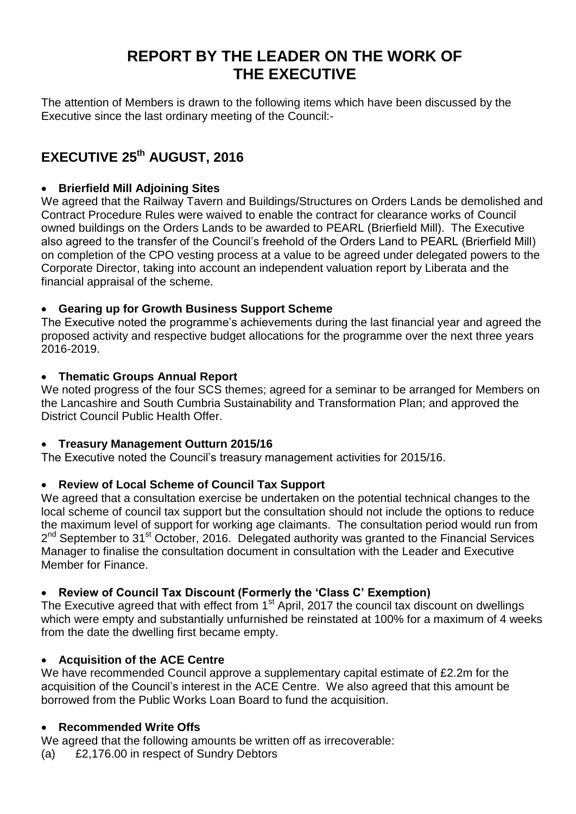# **REPORT BY THE LEADER ON THE WORK OF THE EXECUTIVE**

The attention of Members is drawn to the following items which have been discussed by the Executive since the last ordinary meeting of the Council:-

# **EXECUTIVE 25th AUGUST, 2016**

### **Brierfield Mill Adjoining Sites**

We agreed that the Railway Tavern and Buildings/Structures on Orders Lands be demolished and Contract Procedure Rules were waived to enable the contract for clearance works of Council owned buildings on the Orders Lands to be awarded to PEARL (Brierfield Mill). The Executive also agreed to the transfer of the Council's freehold of the Orders Land to PEARL (Brierfield Mill) on completion of the CPO vesting process at a value to be agreed under delegated powers to the Corporate Director, taking into account an independent valuation report by Liberata and the financial appraisal of the scheme.

## **Gearing up for Growth Business Support Scheme**

The Executive noted the programme's achievements during the last financial year and agreed the proposed activity and respective budget allocations for the programme over the next three years 2016-2019.

#### **Thematic Groups Annual Report**

We noted progress of the four SCS themes; agreed for a seminar to be arranged for Members on the Lancashire and South Cumbria Sustainability and Transformation Plan; and approved the District Council Public Health Offer.

#### **Treasury Management Outturn 2015/16**

The Executive noted the Council's treasury management activities for 2015/16.

# **Review of Local Scheme of Council Tax Support**

We agreed that a consultation exercise be undertaken on the potential technical changes to the local scheme of council tax support but the consultation should not include the options to reduce the maximum level of support for working age claimants. The consultation period would run from 2<sup>nd</sup> September to 31<sup>st</sup> October, 2016. Delegated authority was granted to the Financial Services Manager to finalise the consultation document in consultation with the Leader and Executive Member for Finance.

# **Review of Council Tax Discount (Formerly the 'Class C' Exemption)**

The Executive agreed that with effect from 1<sup>st</sup> April, 2017 the council tax discount on dwellings which were empty and substantially unfurnished be reinstated at 100% for a maximum of 4 weeks from the date the dwelling first became empty.

#### **Acquisition of the ACE Centre**

We have recommended Council approve a supplementary capital estimate of £2.2m for the acquisition of the Council's interest in the ACE Centre. We also agreed that this amount be borrowed from the Public Works Loan Board to fund the acquisition.

#### **Recommended Write Offs**

We agreed that the following amounts be written off as irrecoverable:

(a) £2,176.00 in respect of Sundry Debtors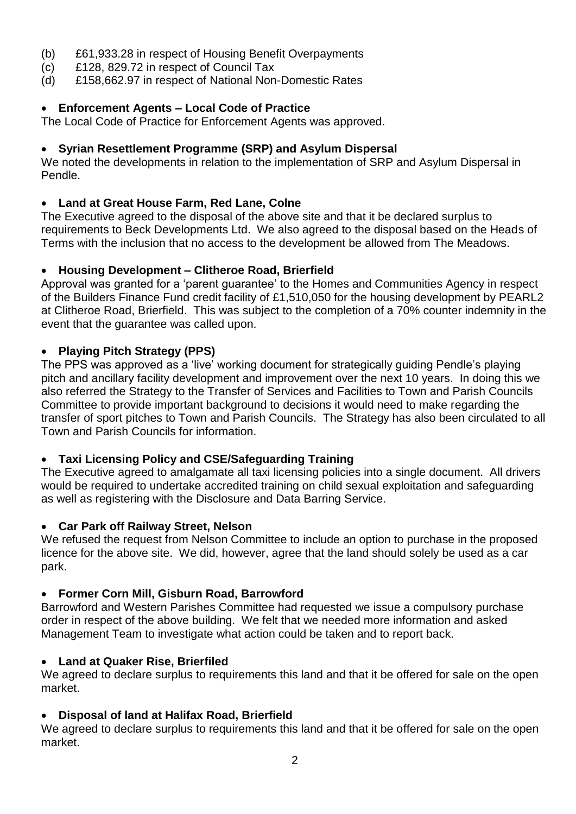- (b) £61,933.28 in respect of Housing Benefit Overpayments
- (c) £128, 829.72 in respect of Council Tax
- (d) £158,662.97 in respect of National Non-Domestic Rates

## **Enforcement Agents – Local Code of Practice**

The Local Code of Practice for Enforcement Agents was approved.

### **Syrian Resettlement Programme (SRP) and Asylum Dispersal**

We noted the developments in relation to the implementation of SRP and Asylum Dispersal in Pendle.

## **Land at Great House Farm, Red Lane, Colne**

The Executive agreed to the disposal of the above site and that it be declared surplus to requirements to Beck Developments Ltd. We also agreed to the disposal based on the Heads of Terms with the inclusion that no access to the development be allowed from The Meadows.

#### **Housing Development – Clitheroe Road, Brierfield**

Approval was granted for a 'parent guarantee' to the Homes and Communities Agency in respect of the Builders Finance Fund credit facility of £1,510,050 for the housing development by PEARL2 at Clitheroe Road, Brierfield. This was subject to the completion of a 70% counter indemnity in the event that the guarantee was called upon.

## **Playing Pitch Strategy (PPS)**

The PPS was approved as a 'live' working document for strategically guiding Pendle's playing pitch and ancillary facility development and improvement over the next 10 years. In doing this we also referred the Strategy to the Transfer of Services and Facilities to Town and Parish Councils Committee to provide important background to decisions it would need to make regarding the transfer of sport pitches to Town and Parish Councils. The Strategy has also been circulated to all Town and Parish Councils for information.

#### **Taxi Licensing Policy and CSE/Safeguarding Training**

The Executive agreed to amalgamate all taxi licensing policies into a single document. All drivers would be required to undertake accredited training on child sexual exploitation and safeguarding as well as registering with the Disclosure and Data Barring Service.

#### **Car Park off Railway Street, Nelson**

We refused the request from Nelson Committee to include an option to purchase in the proposed licence for the above site. We did, however, agree that the land should solely be used as a car park.

#### **Former Corn Mill, Gisburn Road, Barrowford**

Barrowford and Western Parishes Committee had requested we issue a compulsory purchase order in respect of the above building. We felt that we needed more information and asked Management Team to investigate what action could be taken and to report back.

# **Land at Quaker Rise, Brierfiled**

We agreed to declare surplus to requirements this land and that it be offered for sale on the open market.

#### **Disposal of land at Halifax Road, Brierfield**

We agreed to declare surplus to requirements this land and that it be offered for sale on the open market.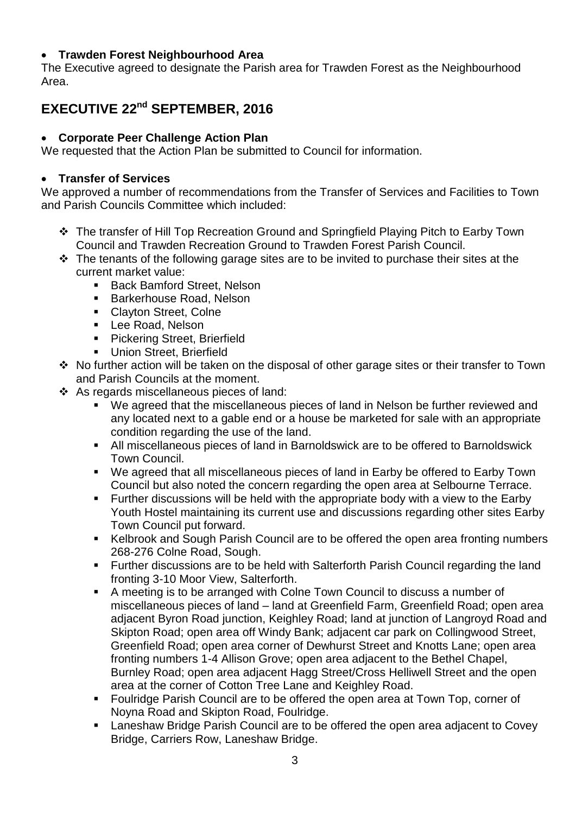#### **Trawden Forest Neighbourhood Area**

The Executive agreed to designate the Parish area for Trawden Forest as the Neighbourhood Area.

# **EXECUTIVE 22nd SEPTEMBER, 2016**

### **Corporate Peer Challenge Action Plan**

We requested that the Action Plan be submitted to Council for information.

### **Transfer of Services**

We approved a number of recommendations from the Transfer of Services and Facilities to Town and Parish Councils Committee which included:

- The transfer of Hill Top Recreation Ground and Springfield Playing Pitch to Earby Town Council and Trawden Recreation Ground to Trawden Forest Parish Council.
- $\cdot \cdot$  The tenants of the following garage sites are to be invited to purchase their sites at the current market value:
	- **Back Bamford Street, Nelson**
	- **Barkerhouse Road, Nelson**
	- **Clayton Street, Colne**
	- **Lee Road, Nelson**
	- **Pickering Street, Brierfield**
	- **Union Street, Brierfield**
- No further action will be taken on the disposal of other garage sites or their transfer to Town and Parish Councils at the moment.
- As regards miscellaneous pieces of land:
	- We agreed that the miscellaneous pieces of land in Nelson be further reviewed and any located next to a gable end or a house be marketed for sale with an appropriate condition regarding the use of the land.
	- All miscellaneous pieces of land in Barnoldswick are to be offered to Barnoldswick Town Council.
	- We agreed that all miscellaneous pieces of land in Earby be offered to Earby Town Council but also noted the concern regarding the open area at Selbourne Terrace.
	- **Further discussions will be held with the appropriate body with a view to the Earby** Youth Hostel maintaining its current use and discussions regarding other sites Earby Town Council put forward.
	- Kelbrook and Sough Parish Council are to be offered the open area fronting numbers 268-276 Colne Road, Sough.
	- Further discussions are to be held with Salterforth Parish Council regarding the land fronting 3-10 Moor View, Salterforth.
	- A meeting is to be arranged with Colne Town Council to discuss a number of miscellaneous pieces of land – land at Greenfield Farm, Greenfield Road; open area adjacent Byron Road junction, Keighley Road; land at junction of Langroyd Road and Skipton Road; open area off Windy Bank; adjacent car park on Collingwood Street, Greenfield Road; open area corner of Dewhurst Street and Knotts Lane; open area fronting numbers 1-4 Allison Grove; open area adjacent to the Bethel Chapel, Burnley Road; open area adjacent Hagg Street/Cross Helliwell Street and the open area at the corner of Cotton Tree Lane and Keighley Road.
	- Foulridge Parish Council are to be offered the open area at Town Top, corner of Noyna Road and Skipton Road, Foulridge.
	- **EXED Arights I** Laneshaw Bridge Parish Council are to be offered the open area adjacent to Covey Bridge, Carriers Row, Laneshaw Bridge.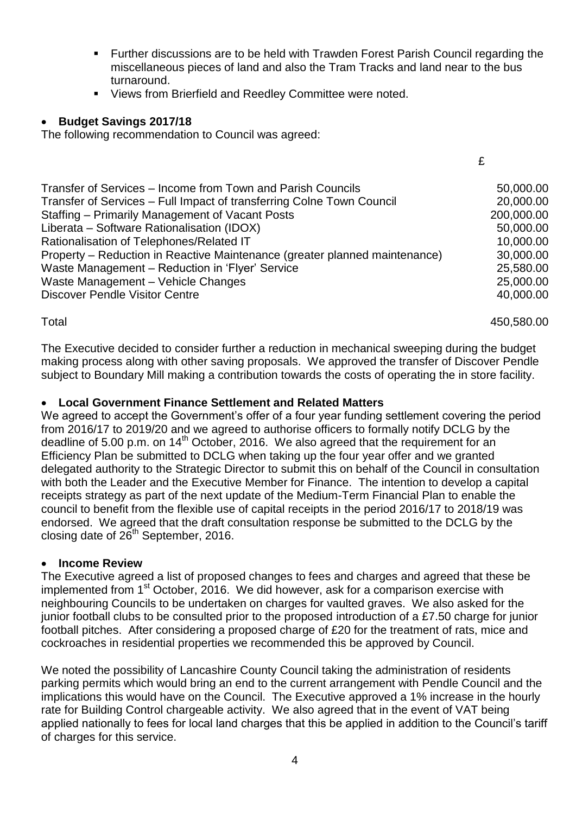Further discussions are to be held with Trawden Forest Parish Council regarding the miscellaneous pieces of land and also the Tram Tracks and land near to the bus turnaround.

£

**Views from Brierfield and Reedley Committee were noted.** 

#### **Budget Savings 2017/18**

The following recommendation to Council was agreed:

| Transfer of Services – Income from Town and Parish Councils                | 50,000.00  |
|----------------------------------------------------------------------------|------------|
| Transfer of Services - Full Impact of transferring Colne Town Council      | 20,000.00  |
| Staffing - Primarily Management of Vacant Posts                            | 200,000.00 |
| Liberata - Software Rationalisation (IDOX)                                 | 50,000.00  |
| Rationalisation of Telephones/Related IT                                   | 10,000.00  |
| Property – Reduction in Reactive Maintenance (greater planned maintenance) | 30,000.00  |
| Waste Management - Reduction in 'Flyer' Service                            | 25,580.00  |
| Waste Management - Vehicle Changes                                         | 25,000.00  |
| <b>Discover Pendle Visitor Centre</b>                                      | 40,000.00  |
|                                                                            |            |

Total 450,580.00

The Executive decided to consider further a reduction in mechanical sweeping during the budget making process along with other saving proposals. We approved the transfer of Discover Pendle subject to Boundary Mill making a contribution towards the costs of operating the in store facility.

#### **Local Government Finance Settlement and Related Matters**

We agreed to accept the Government's offer of a four year funding settlement covering the period from 2016/17 to 2019/20 and we agreed to authorise officers to formally notify DCLG by the deadline of 5.00 p.m. on 14<sup>th</sup> October, 2016. We also agreed that the requirement for an Efficiency Plan be submitted to DCLG when taking up the four year offer and we granted delegated authority to the Strategic Director to submit this on behalf of the Council in consultation with both the Leader and the Executive Member for Finance. The intention to develop a capital receipts strategy as part of the next update of the Medium-Term Financial Plan to enable the council to benefit from the flexible use of capital receipts in the period 2016/17 to 2018/19 was endorsed. We agreed that the draft consultation response be submitted to the DCLG by the closing date of 26<sup>th</sup> September, 2016.

#### **Income Review**

The Executive agreed a list of proposed changes to fees and charges and agreed that these be implemented from 1<sup>st</sup> October, 2016. We did however, ask for a comparison exercise with neighbouring Councils to be undertaken on charges for vaulted graves. We also asked for the junior football clubs to be consulted prior to the proposed introduction of a £7.50 charge for junior football pitches. After considering a proposed charge of £20 for the treatment of rats, mice and cockroaches in residential properties we recommended this be approved by Council.

We noted the possibility of Lancashire County Council taking the administration of residents parking permits which would bring an end to the current arrangement with Pendle Council and the implications this would have on the Council. The Executive approved a 1% increase in the hourly rate for Building Control chargeable activity. We also agreed that in the event of VAT being applied nationally to fees for local land charges that this be applied in addition to the Council's tariff of charges for this service.